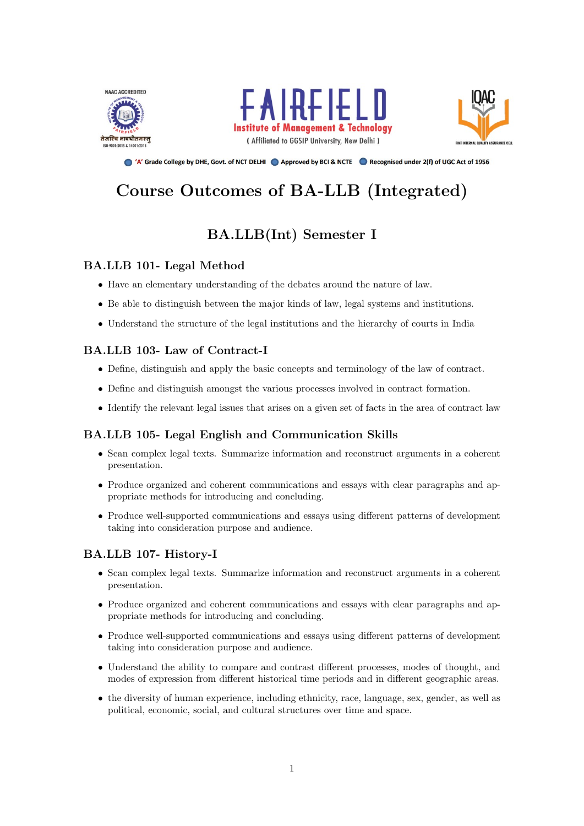





● 'A' Grade College by DHE, Govt. of NCT DELHI ● Approved by BCI & NCTE ● Recognised under 2(f) of UGC Act of 1956

# Course Outcomes of BA-LLB (Integrated)

## BA.LLB(Int) Semester I

## BA.LLB 101- Legal Method

- Have an elementary understanding of the debates around the nature of law.
- Be able to distinguish between the major kinds of law, legal systems and institutions.
- Understand the structure of the legal institutions and the hierarchy of courts in India

## BA.LLB 103- Law of Contract-I

- Define, distinguish and apply the basic concepts and terminology of the law of contract.
- Define and distinguish amongst the various processes involved in contract formation.
- Identify the relevant legal issues that arises on a given set of facts in the area of contract law

## BA.LLB 105- Legal English and Communication Skills

- Scan complex legal texts. Summarize information and reconstruct arguments in a coherent presentation.
- Produce organized and coherent communications and essays with clear paragraphs and appropriate methods for introducing and concluding.
- Produce well-supported communications and essays using different patterns of development taking into consideration purpose and audience.

## BA.LLB 107- History-I

- Scan complex legal texts. Summarize information and reconstruct arguments in a coherent presentation.
- Produce organized and coherent communications and essays with clear paragraphs and appropriate methods for introducing and concluding.
- Produce well-supported communications and essays using different patterns of development taking into consideration purpose and audience.
- Understand the ability to compare and contrast different processes, modes of thought, and modes of expression from different historical time periods and in different geographic areas.
- the diversity of human experience, including ethnicity, race, language, sex, gender, as well as political, economic, social, and cultural structures over time and space.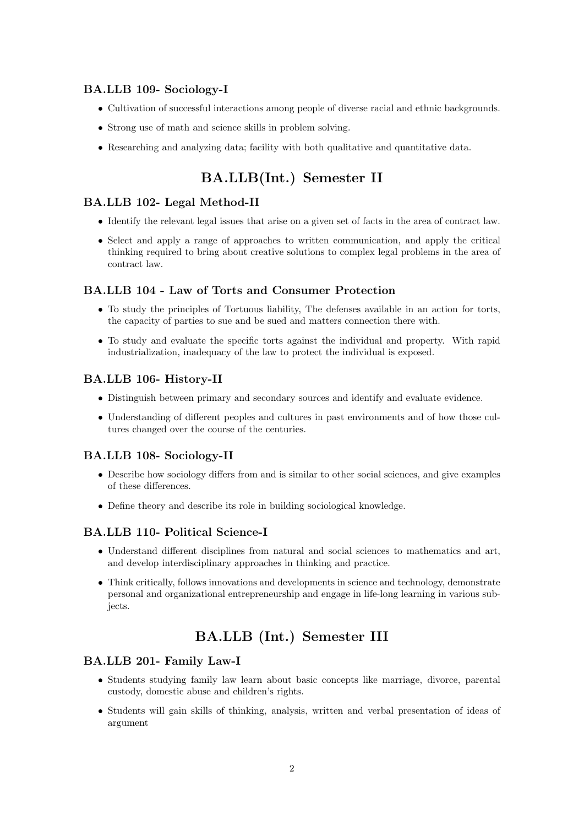## BA.LLB 109- Sociology-I

- Cultivation of successful interactions among people of diverse racial and ethnic backgrounds.
- Strong use of math and science skills in problem solving.
- Researching and analyzing data; facility with both qualitative and quantitative data.

## BA.LLB(Int.) Semester II

### BA.LLB 102- Legal Method-II

- Identify the relevant legal issues that arise on a given set of facts in the area of contract law.
- Select and apply a range of approaches to written communication, and apply the critical thinking required to bring about creative solutions to complex legal problems in the area of contract law.

### BA.LLB 104 - Law of Torts and Consumer Protection

- To study the principles of Tortuous liability, The defenses available in an action for torts, the capacity of parties to sue and be sued and matters connection there with.
- To study and evaluate the specific torts against the individual and property. With rapid industrialization, inadequacy of the law to protect the individual is exposed.

#### BA.LLB 106- History-II

- Distinguish between primary and secondary sources and identify and evaluate evidence.
- Understanding of different peoples and cultures in past environments and of how those cultures changed over the course of the centuries.

#### BA.LLB 108- Sociology-II

- Describe how sociology differs from and is similar to other social sciences, and give examples of these differences.
- Define theory and describe its role in building sociological knowledge.

### BA.LLB 110- Political Science-I

- Understand different disciplines from natural and social sciences to mathematics and art, and develop interdisciplinary approaches in thinking and practice.
- Think critically, follows innovations and developments in science and technology, demonstrate personal and organizational entrepreneurship and engage in life-long learning in various subjects.

## BA.LLB (Int.) Semester III

#### BA.LLB 201- Family Law-I

- Students studying family law learn about basic concepts like marriage, divorce, parental custody, domestic abuse and children's rights.
- Students will gain skills of thinking, analysis, written and verbal presentation of ideas of argument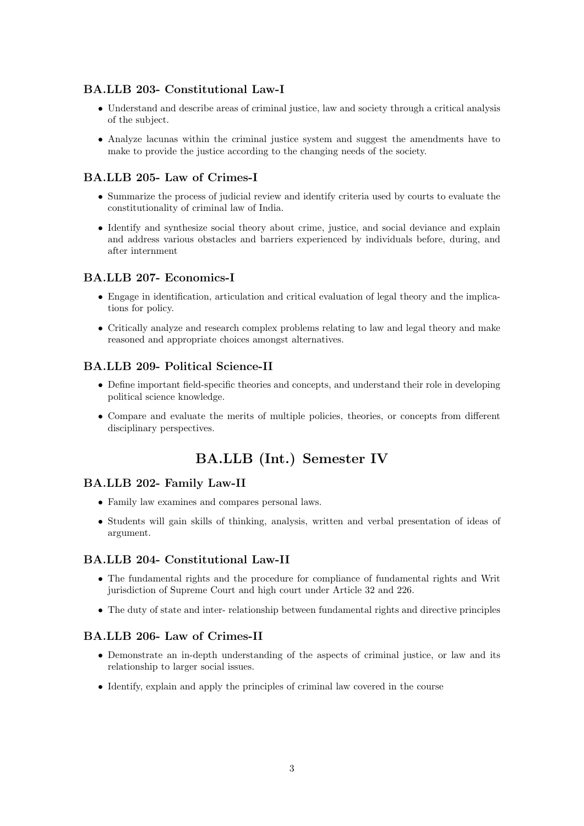## BA.LLB 203- Constitutional Law-I

- Understand and describe areas of criminal justice, law and society through a critical analysis of the subject.
- Analyze lacunas within the criminal justice system and suggest the amendments have to make to provide the justice according to the changing needs of the society.

### BA.LLB 205- Law of Crimes-I

- Summarize the process of judicial review and identify criteria used by courts to evaluate the constitutionality of criminal law of India.
- Identify and synthesize social theory about crime, justice, and social deviance and explain and address various obstacles and barriers experienced by individuals before, during, and after internment

### BA.LLB 207- Economics-I

- Engage in identification, articulation and critical evaluation of legal theory and the implications for policy.
- Critically analyze and research complex problems relating to law and legal theory and make reasoned and appropriate choices amongst alternatives.

#### BA.LLB 209- Political Science-II

- Define important field-specific theories and concepts, and understand their role in developing political science knowledge.
- Compare and evaluate the merits of multiple policies, theories, or concepts from different disciplinary perspectives.

## BA.LLB (Int.) Semester IV

#### BA.LLB 202- Family Law-II

- Family law examines and compares personal laws.
- Students will gain skills of thinking, analysis, written and verbal presentation of ideas of argument.

#### BA.LLB 204- Constitutional Law-II

- The fundamental rights and the procedure for compliance of fundamental rights and Writ jurisdiction of Supreme Court and high court under Article 32 and 226.
- The duty of state and inter- relationship between fundamental rights and directive principles

### BA.LLB 206- Law of Crimes-II

- Demonstrate an in-depth understanding of the aspects of criminal justice, or law and its relationship to larger social issues.
- Identify, explain and apply the principles of criminal law covered in the course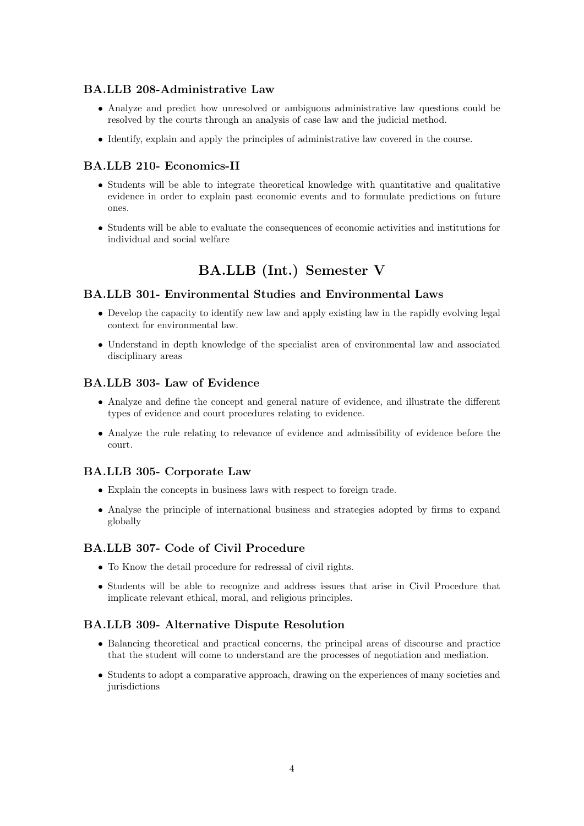### BA.LLB 208-Administrative Law

- Analyze and predict how unresolved or ambiguous administrative law questions could be resolved by the courts through an analysis of case law and the judicial method.
- Identify, explain and apply the principles of administrative law covered in the course.

## BA.LLB 210- Economics-II

- Students will be able to integrate theoretical knowledge with quantitative and qualitative evidence in order to explain past economic events and to formulate predictions on future ones.
- Students will be able to evaluate the consequences of economic activities and institutions for individual and social welfare

## BA.LLB (Int.) Semester V

### BA.LLB 301- Environmental Studies and Environmental Laws

- Develop the capacity to identify new law and apply existing law in the rapidly evolving legal context for environmental law.
- Understand in depth knowledge of the specialist area of environmental law and associated disciplinary areas

### BA.LLB 303- Law of Evidence

- Analyze and define the concept and general nature of evidence, and illustrate the different types of evidence and court procedures relating to evidence.
- Analyze the rule relating to relevance of evidence and admissibility of evidence before the court.

### BA.LLB 305- Corporate Law

- Explain the concepts in business laws with respect to foreign trade.
- Analyse the principle of international business and strategies adopted by firms to expand globally

### BA.LLB 307- Code of Civil Procedure

- To Know the detail procedure for redressal of civil rights.
- Students will be able to recognize and address issues that arise in Civil Procedure that implicate relevant ethical, moral, and religious principles.

### BA.LLB 309- Alternative Dispute Resolution

- Balancing theoretical and practical concerns, the principal areas of discourse and practice that the student will come to understand are the processes of negotiation and mediation.
- Students to adopt a comparative approach, drawing on the experiences of many societies and jurisdictions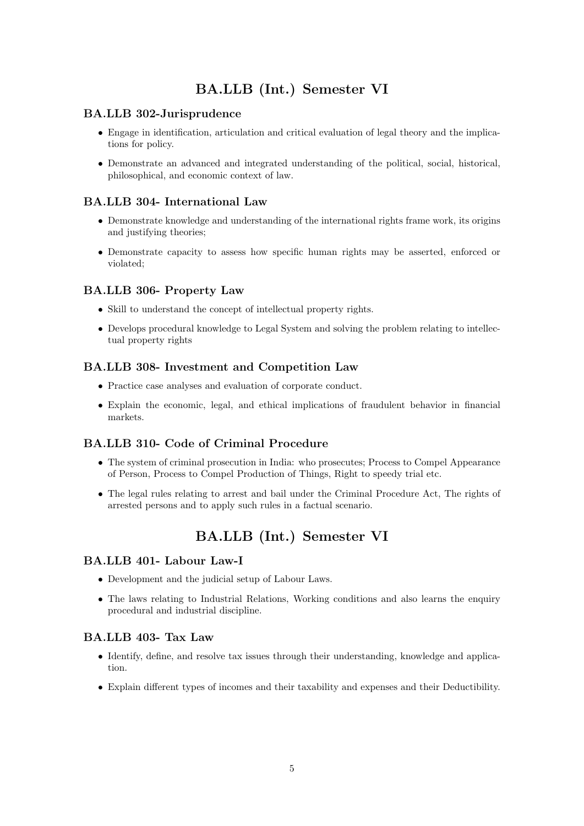## BA.LLB (Int.) Semester VI

### BA.LLB 302-Jurisprudence

- Engage in identification, articulation and critical evaluation of legal theory and the implications for policy.
- Demonstrate an advanced and integrated understanding of the political, social, historical, philosophical, and economic context of law.

## BA.LLB 304- International Law

- Demonstrate knowledge and understanding of the international rights frame work, its origins and justifying theories;
- Demonstrate capacity to assess how specific human rights may be asserted, enforced or violated;

## BA.LLB 306- Property Law

- Skill to understand the concept of intellectual property rights.
- Develops procedural knowledge to Legal System and solving the problem relating to intellectual property rights

## BA.LLB 308- Investment and Competition Law

- Practice case analyses and evaluation of corporate conduct.
- Explain the economic, legal, and ethical implications of fraudulent behavior in financial markets.

## BA.LLB 310- Code of Criminal Procedure

- The system of criminal prosecution in India: who prosecutes; Process to Compel Appearance of Person, Process to Compel Production of Things, Right to speedy trial etc.
- The legal rules relating to arrest and bail under the Criminal Procedure Act, The rights of arrested persons and to apply such rules in a factual scenario.

## BA.LLB (Int.) Semester VI

### BA.LLB 401- Labour Law-I

- Development and the judicial setup of Labour Laws.
- The laws relating to Industrial Relations, Working conditions and also learns the enquiry procedural and industrial discipline.

## BA.LLB 403- Tax Law

- Identify, define, and resolve tax issues through their understanding, knowledge and application.
- Explain different types of incomes and their taxability and expenses and their Deductibility.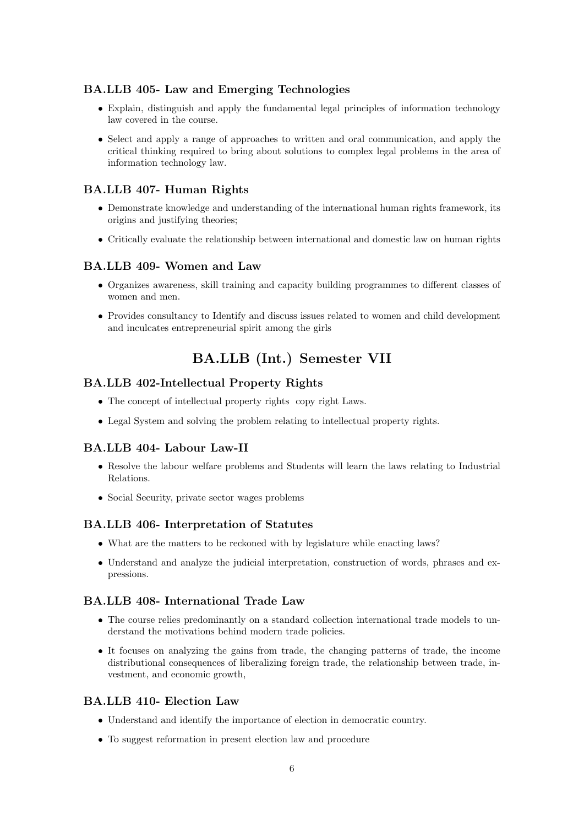## BA.LLB 405- Law and Emerging Technologies

- Explain, distinguish and apply the fundamental legal principles of information technology law covered in the course.
- Select and apply a range of approaches to written and oral communication, and apply the critical thinking required to bring about solutions to complex legal problems in the area of information technology law.

### BA.LLB 407- Human Rights

- Demonstrate knowledge and understanding of the international human rights framework, its origins and justifying theories;
- Critically evaluate the relationship between international and domestic law on human rights

### BA.LLB 409- Women and Law

- Organizes awareness, skill training and capacity building programmes to different classes of women and men.
- Provides consultancy to Identify and discuss issues related to women and child development and inculcates entrepreneurial spirit among the girls

## BA.LLB (Int.) Semester VII

### BA.LLB 402-Intellectual Property Rights

- The concept of intellectual property rights copy right Laws.
- Legal System and solving the problem relating to intellectual property rights.

### BA.LLB 404- Labour Law-II

- Resolve the labour welfare problems and Students will learn the laws relating to Industrial Relations.
- Social Security, private sector wages problems

#### BA.LLB 406- Interpretation of Statutes

- What are the matters to be reckoned with by legislature while enacting laws?
- Understand and analyze the judicial interpretation, construction of words, phrases and expressions.

### BA.LLB 408- International Trade Law

- The course relies predominantly on a standard collection international trade models to understand the motivations behind modern trade policies.
- It focuses on analyzing the gains from trade, the changing patterns of trade, the income distributional consequences of liberalizing foreign trade, the relationship between trade, investment, and economic growth,

#### BA.LLB 410- Election Law

- Understand and identify the importance of election in democratic country.
- To suggest reformation in present election law and procedure